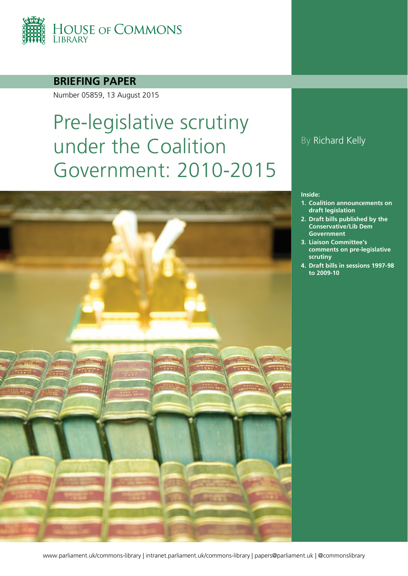

#### **BRIEFING PAPER**

Number 05859, 13 August 2015

# Pre-legislative scrutiny under the Coalition Government: 2010-2015



### By Richard Kelly

#### **Inside:**

- **1. [Coalition announcements on](#page-3-0)  [draft legislation](#page-3-0)**
- **2. [Draft bills published by the](#page-5-0)  [Conservative/Lib Dem](#page-5-0)  [Government](#page-5-0)**
- **3. [Liaison Committee's](#page-12-0)  [comments on pre-legislative](#page-12-0)  [scrutiny](#page-12-0)**
- **4. [Draft bills in sessions 1997-98](#page-15-0)  [to 2009-10](#page-15-0)**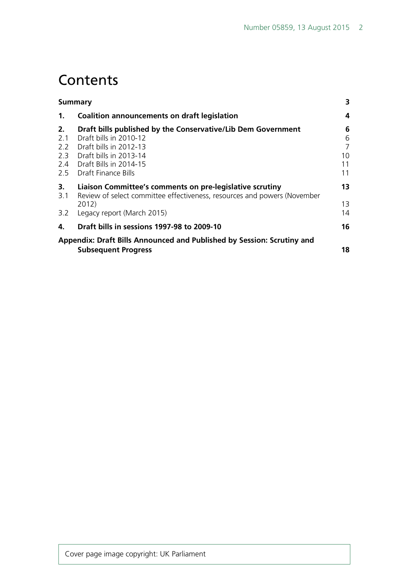## **Contents**

| Summary                                                                                         | 3                                                                                                                                                                                                                                                                       |
|-------------------------------------------------------------------------------------------------|-------------------------------------------------------------------------------------------------------------------------------------------------------------------------------------------------------------------------------------------------------------------------|
| Coalition announcements on draft legislation                                                    | 4                                                                                                                                                                                                                                                                       |
| Draft bills published by the Conservative/Lib Dem Government<br>Draft bills in 2010-12          | 6<br>6<br>7<br>10<br>11<br>11                                                                                                                                                                                                                                           |
| Liaison Committee's comments on pre-legislative scrutiny<br>2012)<br>Legacy report (March 2015) | 13<br>13<br>14                                                                                                                                                                                                                                                          |
| Draft bills in sessions 1997-98 to 2009-10                                                      | 16                                                                                                                                                                                                                                                                      |
| <b>Subsequent Progress</b>                                                                      | 18                                                                                                                                                                                                                                                                      |
|                                                                                                 | 2.2 Draft bills in 2012-13<br>2.3 Draft bills in 2013-14<br>2.4 Draft Bills in 2014-15<br>2.5 Draft Finance Bills<br>Review of select committee effectiveness, resources and powers (November<br>Appendix: Draft Bills Announced and Published by Session: Scrutiny and |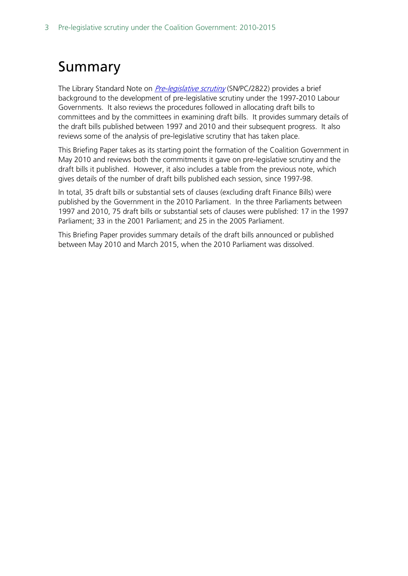## <span id="page-2-0"></span>Summary

The Library Standard Note on *[Pre-legislative scrutiny](http://www.parliament.uk/documents/commons/lib/research/briefings/snpc-02822.pdf)* (SN/PC/2822) provides a brief background to the development of pre-legislative scrutiny under the 1997-2010 Labour Governments. It also reviews the procedures followed in allocating draft bills to committees and by the committees in examining draft bills. It provides summary details of the draft bills published between 1997 and 2010 and their subsequent progress. It also reviews some of the analysis of pre-legislative scrutiny that has taken place.

This Briefing Paper takes as its starting point the formation of the Coalition Government in May 2010 and reviews both the commitments it gave on pre-legislative scrutiny and the draft bills it published. However, it also includes a table from the previous note, which gives details of the number of draft bills published each session, since 1997-98.

In total, 35 draft bills or substantial sets of clauses (excluding draft Finance Bills) were published by the Government in the 2010 Parliament. In the three Parliaments between 1997 and 2010, 75 draft bills or substantial sets of clauses were published: 17 in the 1997 Parliament; 33 in the 2001 Parliament; and 25 in the 2005 Parliament.

This Briefing Paper provides summary details of the draft bills announced or published between May 2010 and March 2015, when the 2010 Parliament was dissolved.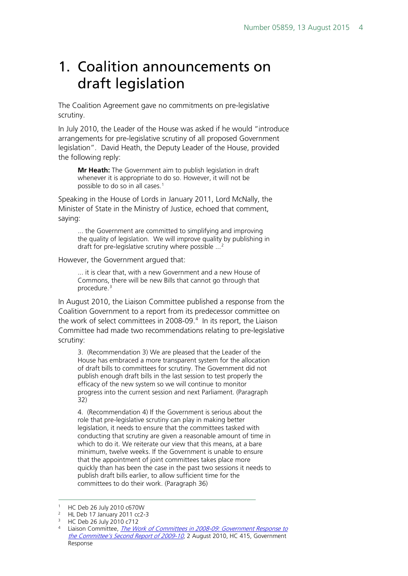## <span id="page-3-0"></span>1. Coalition announcements on draft legislation

The Coalition Agreement gave no commitments on pre-legislative scrutiny.

In July 2010, the Leader of the House was asked if he would "introduce arrangements for pre-legislative scrutiny of all proposed Government legislation". David Heath, the Deputy Leader of the House, provided the following reply:

**Mr Heath:** The Government aim to publish legislation in draft whenever it is appropriate to do so. However, it will not be possible to do so in all cases.<sup>[1](#page-3-1)</sup>

Speaking in the House of Lords in January 2011, Lord McNally, the Minister of State in the Ministry of Justice, echoed that comment, saying:

... the Government are committed to simplifying and improving the quality of legislation. We will improve quality by publishing in draft for pre-legislative scrutiny where possible ...<sup>[2](#page-3-2)</sup>

However, the Government argued that:

... it is clear that, with a new Government and a new House of Commons, there will be new Bills that cannot go through that procedure.[3](#page-3-3)

In August 2010, the Liaison Committee published a response from the Coalition Government to a report from its predecessor committee on the work of select committees in 2008-09.<sup>4</sup> In its report, the Liaison Committee had made two recommendations relating to pre-legislative scrutiny:

3. (Recommendation 3) We are pleased that the Leader of the House has embraced a more transparent system for the allocation of draft bills to committees for scrutiny. The Government did not publish enough draft bills in the last session to test properly the efficacy of the new system so we will continue to monitor progress into the current session and next Parliament. (Paragraph 32)

4. (Recommendation 4) If the Government is serious about the role that pre-legislative scrutiny can play in making better legislation, it needs to ensure that the committees tasked with conducting that scrutiny are given a reasonable amount of time in which to do it. We reiterate our view that this means, at a bare minimum, twelve weeks. If the Government is unable to ensure that the appointment of joint committees takes place more quickly than has been the case in the past two sessions it needs to publish draft bills earlier, to allow sufficient time for the committees to do their work. (Paragraph 36)

 $\overline{a}$ 

<span id="page-3-2"></span><span id="page-3-1"></span><sup>&</sup>lt;sup>1</sup> HC Deb 26 July 2010 c670W<br><sup>2</sup> HL Deb 17 January 2011 cc2-3

<sup>3</sup> HC Deb 26 July 2010 c712

<span id="page-3-4"></span><span id="page-3-3"></span><sup>4</sup> Liaison Committee, The Work of Committees in 2008-09: Government Response to [the Committee's Second Report of 2009-10](http://www.publications.parliament.uk/pa/cm201011/cmselect/cmliaisn/415/415.pdf), 2 August 2010, HC 415, Government Response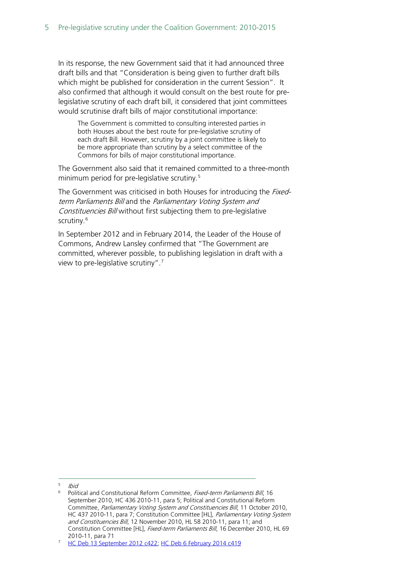In its response, the new Government said that it had announced three draft bills and that "Consideration is being given to further draft bills which might be published for consideration in the current Session". It also confirmed that although it would consult on the best route for prelegislative scrutiny of each draft bill, it considered that joint committees would scrutinise draft bills of major constitutional importance:

The Government is committed to consulting interested parties in both Houses about the best route for pre-legislative scrutiny of each draft Bill. However, scrutiny by a joint committee is likely to be more appropriate than scrutiny by a select committee of the Commons for bills of major constitutional importance.

The Government also said that it remained committed to a three-month minimum period for pre-legislative scrutiny.<sup>[5](#page-4-0)</sup>

The Government was criticised in both Houses for introducing the *Fixed*term Parliaments Bill and the Parliamentary Voting System and Constituencies Bill without first subjecting them to pre-legislative scrutiny.<sup>[6](#page-4-1)</sup>

In September 2012 and in February 2014, the Leader of the House of Commons, Andrew Lansley confirmed that "The Government are committed, wherever possible, to publishing legislation in draft with a view to pre-legislative scrutiny".[7](#page-4-2)

 $5$  Ibid -

<span id="page-4-1"></span><span id="page-4-0"></span><sup>&</sup>lt;sup>6</sup> Political and Constitutional Reform Committee, Fixed-term Parliaments Bill, 16 September 2010, HC 436 2010-11, para 5; Political and Constitutional Reform Committee, Parliamentary Voting System and Constituencies Bill, 11 October 2010, HC 437 2010-11, para 7; Constitution Committee [HL], Parliamentary Voting System and Constituencies Bill, 12 November 2010, HL 58 2010-11, para 11; and Constitution Committee [HL], Fixed-term Parliaments Bill, 16 December 2010, HL 69 2010-11, para 71

<span id="page-4-2"></span><sup>7</sup> [HC Deb 13 September 2012 c422;](http://www.publications.parliament.uk/pa/cm201213/cmhansrd/cm120913/debtext/120913-0001.htm%2312091334000039) [HC Deb 6 February 2014 c419](http://www.publications.parliament.uk/pa/cm201314/cmhansrd/cm140206/debtext/140206-0001.htm%2314020652000208)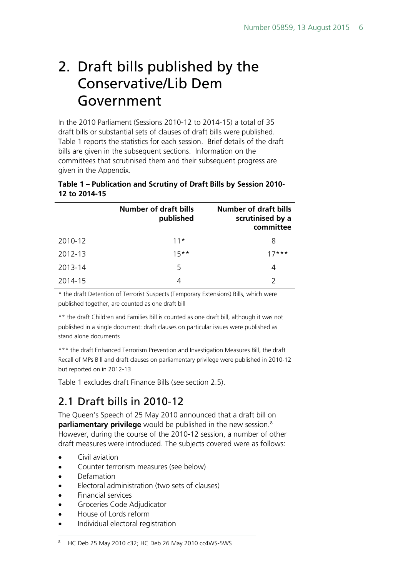## <span id="page-5-0"></span>2. Draft bills published by the Conservative/Lib Dem Government

In the 2010 Parliament (Sessions 2010-12 to 2014-15) a total of 35 draft bills or substantial sets of clauses of draft bills were published. Table 1 reports the statistics for each session. Brief details of the draft bills are given in the subsequent sections. Information on the committees that scrutinised them and their subsequent progress are given in the Appendix.

#### **Table 1 – Publication and Scrutiny of Draft Bills by Session 2010- 12 to 2014-15**

|         | <b>Number of draft bills</b><br>published | <b>Number of draft bills</b><br>scrutinised by a<br>committee |
|---------|-------------------------------------------|---------------------------------------------------------------|
| 2010-12 | $11*$                                     | 8                                                             |
| 2012-13 | $15***$                                   | 17***                                                         |
| 2013-14 | 5                                         | 4                                                             |
| 2014-15 | 4                                         | $\mathcal{P}$                                                 |

\* the draft Detention of Terrorist Suspects (Temporary Extensions) Bills, which were published together, are counted as one draft bill

\*\* the draft Children and Families Bill is counted as one draft bill, although it was not published in a single document: draft clauses on particular issues were published as stand alone documents

\*\*\* the draft Enhanced Terrorism Prevention and Investigation Measures Bill, the draft Recall of MPs Bill and draft clauses on parliamentary privilege were published in 2010-12 but reported on in 2012-13

Table 1 excludes draft Finance Bills (see section 2.5).

## <span id="page-5-1"></span>2.1 Draft bills in 2010-12

The Queen's Speech of 25 May 2010 announced that a draft bill on **parliamentary privilege** would be published in the new session.<sup>8</sup> However, during the course of the 2010-12 session, a number of other draft measures were introduced. The subjects covered were as follows:

- Civil aviation
- Counter terrorism measures (see below)
- Defamation
- Electoral administration (two sets of clauses)
- Financial services
- Groceries Code Adjudicator
- House of Lords reform
- Individual electoral registration

#### <span id="page-5-2"></span><sup>8</sup> HC Deb 25 May 2010 c32; HC Deb 26 May 2010 cc4WS-5WS -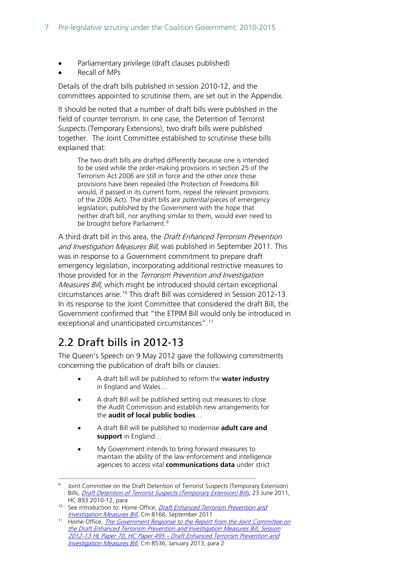- Parliamentary privilege (draft clauses published)
- Recall of MPs

Details of the draft bills published in session 2010-12, and the committees appointed to scrutinise them, are set out in the Appendix.

It should be noted that a number of draft bills were published in the field of counter terrorism. In one case, the Detention of Terrorist Suspects (Temporary Extensions), two draft bills were published together. The Joint Committee established to scrutinise these bills explained that:

The two draft bills are drafted differently because one is intended to be used while the order-making provisions in section 25 of the Terrorism Act 2006 are still in force and the other once those provisions have been repealed (the Protection of Freedoms Bill would, if passed in its current form, repeal the relevant provisions of the 2006 Act). The draft bills are *potential* pieces of emergency legislation, published by the Government with the hope that neither draft bill, nor anything similar to them, would ever need to be brought before Parliament.<sup>[9](#page-6-1)</sup>

A third draft bill in this area, the Draft Enhanced Terrorism Prevention and Investigation Measures Bill, was published in September 2011. This was in response to a Government commitment to prepare draft emergency legislation, incorporating additional restrictive measures to those provided for in the Terrorism Prevention and Investigation Measures Bill, which might be introduced should certain exceptional circumstances arise[.10](#page-6-2) This draft Bill was considered in Session 2012-13. In its response to the Joint Committee that considered the draft Bill, the Government confirmed that "the ETPIM Bill would only be introduced in exceptional and unanticipated circumstances".[11](#page-6-3)

## <span id="page-6-0"></span>2.2 Draft bills in 2012-13

-

The Queen's Speech on 9 May 2012 gave the following commitments concerning the publication of draft bills or clauses:

- A draft bill will be published to reform the **water industry** in England and Wales…
- A draft Bill will be published setting out measures to close the Audit Commission and establish new arrangements for the **audit of local public bodies**…
- A draft Bill will be published to modernise **adult care and support** in England…
- My Government intends to bring forward measures to maintain the ability of the law enforcement and intelligence agencies to access vital **communications data** under strict

<span id="page-6-1"></span><sup>&</sup>lt;sup>9</sup> Joint Committee on the Draft Detention of Terrorist Suspects (Temporary Extension) Bills, *[Draft Detention of Terrorist Suspects \(Temporary Extension\) Bills](http://www.publications.parliament.uk/pa/jt201012/jtselect/jtdetent/161/161.pdf)*, 23 June 2011,

<span id="page-6-2"></span>HC 893 2010-12, para<br><sup>10</sup> See introduction to: Home Office, *Draft Enhanced Terrorism Prevention and* [Investigation Measures Bill](http://www.homeoffice.gov.uk/publications/about-us/legislation/etpim-bill-docs/etpim-draft-bill?view=Binary), Cm 8166, September 2011

<span id="page-6-3"></span><sup>&</sup>lt;sup>11</sup> Home Office, *The Government Response to the Report from the Joint Committee on* [the Draft Enhanced Terrorism Prevention and Investigation Measures Bill, Session](http://www.parliament.uk/documents/joint-committees/Draft%20ETPIMS%20Bill/Cm%208536%20accessible.pdf)  [2012-13 HL Paper 70, HC Paper 495 –](http://www.parliament.uk/documents/joint-committees/Draft%20ETPIMS%20Bill/Cm%208536%20accessible.pdf) Draft Enhanced Terrorism Prevention and [Investigation Measures Bill](http://www.parliament.uk/documents/joint-committees/Draft%20ETPIMS%20Bill/Cm%208536%20accessible.pdf), Cm 8536, January 2013, para 2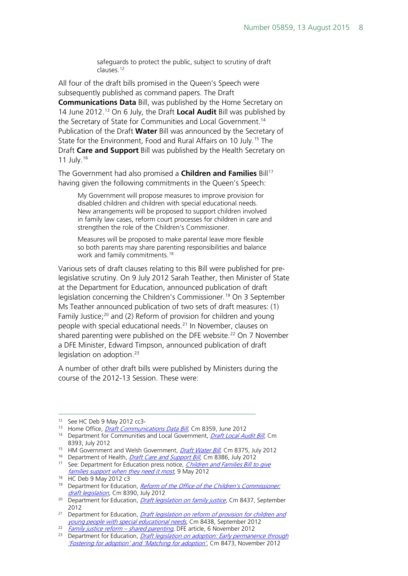safeguards to protect the public, subject to scrutiny of draft clauses.[12](#page-7-0)

All four of the draft bills promised in the Queen's Speech were subsequently published as command papers. The Draft **Communications Data** Bill, was published by the Home Secretary on 14 June 2012.[13](#page-7-1) On 6 July, the Draft **Local Audit** Bill was published by the Secretary of State for Communities and Local Government.<sup>[14](#page-7-2)</sup> Publication of the Draft **Water** Bill was announced by the Secretary of State for the Environment, Food and Rural Affairs on 10 July.<sup>[15](#page-7-3)</sup> The Draft **Care and Support** Bill was published by the Health Secretary on 11 July.[16](#page-7-4)

The Government had also promised a **Children and Families** Bill<sup>[17](#page-7-5)</sup> having given the following commitments in the Queen's Speech:

My Government will propose measures to improve provision for disabled children and children with special educational needs. New arrangements will be proposed to support children involved in family law cases, reform court processes for children in care and strengthen the role of the Children's Commissioner.

Measures will be proposed to make parental leave more flexible so both parents may share parenting responsibilities and balance work and family commitments. [18](#page-7-6)

Various sets of draft clauses relating to this Bill were published for prelegislative scrutiny. On 9 July 2012 Sarah Teather, then Minister of State at the Department for Education, announced publication of draft legislation concerning the Children's Commissioner.<sup>[19](#page-7-7)</sup> On 3 September Ms Teather announced publication of two sets of draft measures: (1) Family Justice;<sup>[20](#page-7-8)</sup> and (2) Reform of provision for children and young people with special educational needs.<sup>[21](#page-7-9)</sup> In November, clauses on shared parenting were published on the DFE website.<sup>[22](#page-7-10)</sup> On 7 November a DFE Minister, Edward Timpson, announced publication of draft legislation on adoption.<sup>[23](#page-7-11)</sup>

A number of other draft bills were published by Ministers during the course of the 2012-13 Session. These were:

 $\overline{a}$ 

<span id="page-7-0"></span><sup>12</sup> See HC Deb 9 May 2012 cc3-

<span id="page-7-1"></span><sup>&</sup>lt;sup>13</sup> Home Office, *[Draft Communications Data Bill](http://www.official-documents.gov.uk/document/cm83/8359/8359.pdf)*, Cm 8359, June 2012

<span id="page-7-2"></span><sup>&</sup>lt;sup>14</sup> Department for Communities and Local Government, *[Draft Local Audit Bill](http://www.official-documents.gov.uk/document/cm83/8393/8393.pdf)*, Cm 8393, July 2012

<span id="page-7-3"></span><sup>&</sup>lt;sup>15</sup> HM Government and Welsh Government, *[Draft Water Bill](http://www.official-documents.gov.uk/document/cm83/8375/8375.pdf)*, Cm 8375, July 2012

<span id="page-7-4"></span><sup>&</sup>lt;sup>16</sup> Department of Health, *Draft Care [and Support Bill](http://www.official-documents.gov.uk/document/cm83/8386/8386.pdf)*, Cm 8386, July 2012

<span id="page-7-5"></span><sup>&</sup>lt;sup>17</sup> See: Department for Education press notice, *Children and Families Bill to give* families support when they need it most[,](http://www.education.gov.uk/inthenews/inthenews/a00208753/childrens-bill-family-support) 9 May 2012<br><sup>18</sup> HC Deb 9 May 2012 c3

<span id="page-7-7"></span><span id="page-7-6"></span><sup>&</sup>lt;sup>19</sup> Department for Education, *Reform of the Office of the Children's Commissioner:* [draft legislation](http://www.official-documents.gov.uk/document/cm83/8390/8390.pdf), Cm 8390, July 2012

<span id="page-7-8"></span><sup>&</sup>lt;sup>20</sup> Department for Education, *[Draft legislation on family justice](http://www.official-documents.gov.uk/document/cm84/8437/8437.pdf)*, Cm 8437, September 2012

<span id="page-7-9"></span><sup>&</sup>lt;sup>21</sup> Department for Education, *Draft legislation on reform of provision for children and* [young people with special educational needs](http://www.official-documents.gov.uk/document/cm84/8438/8438.pdf), Cm 8438, September 2012

<span id="page-7-10"></span> $\frac{22}{Fami/|V|}$  *[Family justice reform –](http://www.education.gov.uk/childrenandyoungpeople/families/familylaw/a00216607/family-justice-reform-shared-parenting) shared parenting*, DFE article, 6 November 2012

<span id="page-7-11"></span><sup>&</sup>lt;sup>23</sup> Department for Education, *Draft legislation on adoption: Early permanence through* ['Fostering for adoption' and 'Matching for adoption'](http://www.official-documents.gov.uk/document/cm84/8473/8473.pdf), Cm 8473, November 2012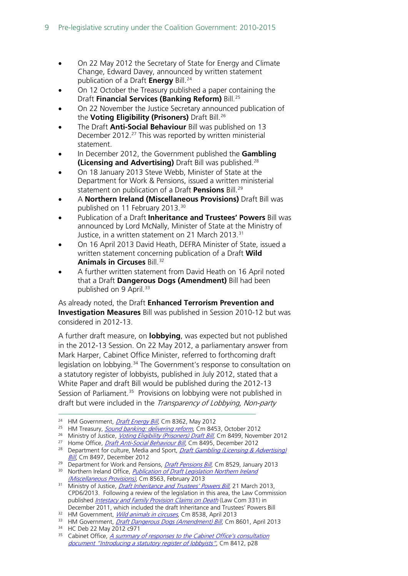- On 22 May 2012 the Secretary of State for Energy and Climate Change, Edward Davey, announced by written statement publication of a Draft **Energy** Bill.<sup>[24](#page-8-0)</sup>
- On 12 October the Treasury published a paper containing the Draft **Financial Services (Banking Reform)** Bill.[25](#page-8-1)
- On 22 November the Justice Secretary announced publication of the **Voting Eligibility (Prisoners)** Draft Bill.[26](#page-8-2)
- The Draft **Anti-Social Behaviour** Bill was published on 13 December 2012.<sup>[27](#page-8-3)</sup> This was reported by written ministerial statement.
- In December 2012, the Government published the **Gambling (Licensing and Advertising)** Draft Bill was published.[28](#page-8-4)
- On 18 January 2013 Steve Webb, Minister of State at the Department for Work & Pensions, issued a written ministerial statement on publication of a Draft **Pensions** Bill.[29](#page-8-5)
- A **Northern Ireland (Miscellaneous Provisions)** Draft Bill was published on 11 February 2013.[30](#page-8-6)
- Publication of a Draft **Inheritance and Trustees' Powers** Bill was announced by Lord McNally, Minister of State at the Ministry of Justice, in a written statement on 21 March 2013.<sup>[31](#page-8-7)</sup>
- On 16 April 2013 David Heath, DEFRA Minister of State, issued a written statement concerning publication of a Draft **Wild Animals in Circuses** Bill.<sup>[32](#page-8-8)</sup>
- A further written statement from David Heath on 16 April noted that a Draft **Dangerous Dogs (Amendment)** Bill had been published on 9 April.<sup>[33](#page-8-9)</sup>

As already noted, the Draft **Enhanced Terrorism Prevention and Investigation Measures** Bill was published in Session 2010-12 but was considered in 2012-13.

A further draft measure, on **lobbying**, was expected but not published in the 2012-13 Session. On 22 May 2012, a parliamentary answer from Mark Harper, Cabinet Office Minister, referred to forthcoming draft legislation on lobbying.<sup>[34](#page-8-10)</sup> The Government's response to consultation on a statutory register of lobbyists, published in July 2012, stated that a White Paper and draft Bill would be published during the 2012-13 Session of Parliament.<sup>[35](#page-8-11)</sup> Provisions on lobbying were not published in draft but were included in the *Transparency of Lobbying, Non-party* 

<sup>27</sup> Home Office, *[Draft Anti-Social Behaviour Bill](http://www.official-documents.gov.uk/document/cm84/8495/8495.pdf)*, Cm 8495, December 2012

<span id="page-8-9"></span><sup>33</sup> HM Government, *[Draft Dangerous Dogs \(Amendment\) Bill](http://www.official-documents.gov.uk/document/cm86/8601/8601.pdf)*, Cm 8601, April 2013

<sup>&</sup>lt;sup>24</sup> HM Government, *[Draft Energy Bill](http://www.official-documents.gov.uk/document/cm83/8362/8362.pdf)*, Cm 8362, May 2012  $\overline{a}$ 

<span id="page-8-1"></span><span id="page-8-0"></span><sup>&</sup>lt;sup>25</sup> HM Treasury, **[Sound banking: delivering reform](http://webarchive.nationalarchives.gov.uk/20140210084229/http:/www.official-documents.gov.uk/document/cm84/8453/8453.pdf)**, Cm 8453, October 2012

<span id="page-8-2"></span><sup>&</sup>lt;sup>26</sup> Ministry of Justice, *[Voting Eligibility \(Prisoners\) Draft Bill](http://www.official-documents.gov.uk/document/cm84/8499/8499.pdf)*, Cm 8499, November 2012

<span id="page-8-4"></span><span id="page-8-3"></span><sup>&</sup>lt;sup>28</sup> Department for culture, Media and Sport, *Draft Gambling (Licensing & Advertising)* [Bill](http://www.official-documents.gov.uk/document/cm84/8497/8497.pdf), Cm 8497, December 2012

<span id="page-8-5"></span><sup>&</sup>lt;sup>29</sup> Department for Work and Pensions, *[Draft Pensions Bill](http://webarchive.nationalarchives.gov.uk/20140210084229/http:/www.official-documents.gov.uk/document/cm85/8529/8529.pdf)*, Cm 8529, January 2013

<span id="page-8-6"></span><sup>&</sup>lt;sup>30</sup> Northern Ireland Office, *Publication of Draft Legislation Northern Ireland* [\(Miscellaneous Provisions\)](https://www.gov.uk/government/uploads/system/uploads/attachment_data/file/136436/27250-Cm-8563-v4.pdf), Cm 8563, February 2013

<span id="page-8-7"></span><sup>&</sup>lt;sup>31</sup> Ministry of Justice, *[Draft Inheritance and Trustees' Powers Bill](https://consult.justice.gov.uk/digital-communications/inheritance-trustees-power-bill/supporting_documents/inheritancetrusteespowersbillconsultation.pdf)*, 21 March 2013, CPD6/2013. Following a review of the legislation in this area, the Law Commission published *[Intestacy and Family Provision Claims on Death](http://www.lawcom.gov.uk/wp-content/uploads/2015/03/lc331_intestacy_report.pdf)* (Law Com 331) in December 2011, which included the draft Inheritance and Trustees' Powers Bill

<span id="page-8-8"></span><sup>&</sup>lt;sup>32</sup> HM Government, *[Wild animals in circuses](https://www.gov.uk/government/uploads/system/uploads/attachment_data/file/228862/8538.pdf)*, Cm 8538, April 2013

<span id="page-8-10"></span><sup>34</sup> HC Deb 22 May 2012 c971

<span id="page-8-11"></span> $35$  Cabinet Office, A summary of responses to the Cabinet Office's consultation [document "Introducing a statutory register of lobbyists"](https://www.gov.uk/government/uploads/system/uploads/attachment_data/file/79174/Summary-of-Responses-to-Consultation-Intro-Statutory-Register-of-Lobbyists-FINAL-130712.pdf), Cm 8412, p28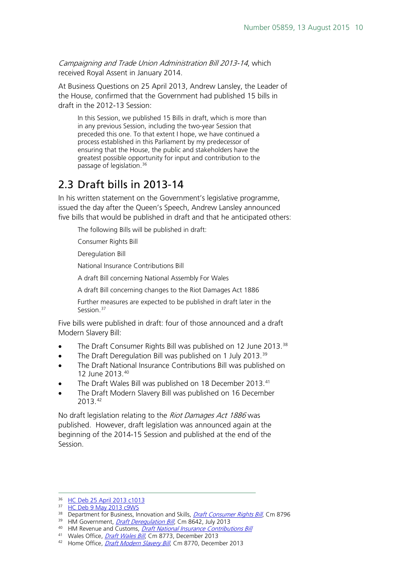Campaigning and Trade Union Administration Bill 2013-14, which received Royal Assent in January 2014.

At Business Questions on 25 April 2013, Andrew Lansley, the Leader of the House, confirmed that the Government had published 15 bills in draft in the 2012-13 Session:

In this Session, we published 15 Bills in draft, which is more than in any previous Session, including the two-year Session that preceded this one. To that extent I hope, we have continued a process established in this Parliament by my predecessor of ensuring that the House, the public and stakeholders have the greatest possible opportunity for input and contribution to the passage of legislation.[36](#page-9-1)

### <span id="page-9-0"></span>2.3 Draft bills in 2013-14

In his written statement on the Government's legislative programme, issued the day after the Queen's Speech, Andrew Lansley announced five bills that would be published in draft and that he anticipated others:

The following Bills will be published in draft:

Consumer Rights Bill

Deregulation Bill

National Insurance Contributions Bill

A draft Bill concerning National Assembly For Wales

A draft Bill concerning changes to the Riot Damages Act 1886

Further measures are expected to be published in draft later in the Session.<sup>[37](#page-9-2)</sup>

Five bills were published in draft: four of those announced and a draft Modern Slavery Bill:

- The Draft Consumer Rights Bill was published on 12 June 2013.<sup>[38](#page-9-3)</sup>
- The Draft Deregulation Bill was published on 1 July 2013.<sup>[39](#page-9-4)</sup>
- The Draft National Insurance Contributions Bill was published on 12 June 2013.[40](#page-9-5)
- The Draft Wales Bill was published on 18 December 2013.<sup>[41](#page-9-6)</sup>
- The Draft Modern Slavery Bill was published on 16 December 2013.[42](#page-9-7)

No draft legislation relating to the Riot Damages Act 1886 was published. However, draft legislation was announced again at the beginning of the 2014-15 Session and published at the end of the Session.

-

<span id="page-9-1"></span><sup>36</sup> [HC Deb 25 April 2013 c1013](http://www.publications.parliament.uk/pa/cm201213/cmhansrd/cm130425/debtext/130425-0001.htm%2313042548001584)

<sup>&</sup>lt;sup>37</sup> [HC Deb 9 May 2013 c9WS](http://www.publications.parliament.uk/pa/cm201314/cmhansrd/cm130509/wmstext/130509m0001.htm%2313050919000007)

<span id="page-9-3"></span><span id="page-9-2"></span><sup>38</sup> Department for Business, Innovation and Skills, *[Draft Consumer Rights Bill](https://www.gov.uk/government/publications/draft-consumer-rights-bill)*, Cm 8796

<span id="page-9-4"></span><sup>&</sup>lt;sup>39</sup> HM Government, *[Draft Deregulation Bill](https://www.gov.uk/government/uploads/system/uploads/attachment_data/file/210035/130701_CM_8642_Draft_Deregulation_Bill.pdf)*, Cm 8642, July 2013

<span id="page-9-5"></span><sup>&</sup>lt;sup>40</sup>HM Revenue and Customs, *Draft National Insurance Contributions Bill*  $^{41}$  Wales Office, *[Draft Wales Bill](https://www.gov.uk/government/uploads/system/uploads/attachment_data/file/266782/Draft_Wales_Bill.pdf)*, Cm 8773, December 2013

<span id="page-9-7"></span><span id="page-9-6"></span><sup>&</sup>lt;sup>42</sup> Home Office, *[Draft Modern Slavery Bill](https://www.gov.uk/government/publications/draft-modern-slavery-bill)*, Cm 8770, December 2013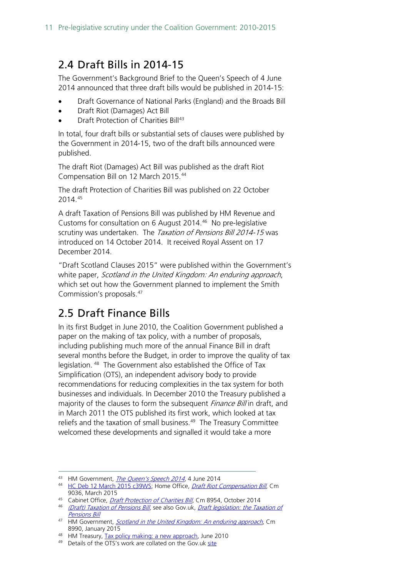## <span id="page-10-0"></span>2.4 Draft Bills in 2014-15

The Government's Background Brief to the Queen's Speech of 4 June 2014 announced that three draft bills would be published in 2014-15:

- Draft Governance of National Parks (England) and the Broads Bill
- Draft Riot (Damages) Act Bill
- Draft Protection of Charities Bill<sup>[43](#page-10-2)</sup>

In total, four draft bills or substantial sets of clauses were published by the Government in 2014-15, two of the draft bills announced were published.

The draft Riot (Damages) Act Bill was published as the draft Riot Compensation Bill on 12 March 2015.[44](#page-10-3)

The draft Protection of Charities Bill was published on 22 October 2014.[45](#page-10-4)

A draft Taxation of Pensions Bill was published by HM Revenue and Customs for consultation on 6 August 2014.[46](#page-10-5) No pre-legislative scrutiny was undertaken. The Taxation of Pensions Bill 2014-15 was introduced on 14 October 2014. It received Royal Assent on 17 December 2014.

"Draft Scotland Clauses 2015" were published within the Government's white paper, Scotland in the United Kingdom: An enduring approach, which set out how the Government planned to implement the Smith Commission's proposals.[47](#page-10-6)

### <span id="page-10-1"></span>2.5 Draft Finance Bills

In its first Budget in June 2010, the Coalition Government published a paper on the making of tax policy, with a number of proposals, including publishing much more of the annual Finance Bill in draft several months before the Budget, in order to improve the quality of tax legislation. [48](#page-10-7) The Government also established the Office of Tax Simplification (OTS), an independent advisory body to provide recommendations for reducing complexities in the tax system for both businesses and individuals. In December 2010 the Treasury published a majority of the clauses to form the subsequent *Finance Bill* in draft, and in March 2011 the OTS published its first work, which looked at tax reliefs and the taxation of small business. $49$  The Treasury Committee welcomed these developments and signalled it would take a more

 $\overline{a}$ 

<span id="page-10-2"></span><sup>&</sup>lt;sup>43</sup> HM Government, *[The Queen's Speech 2014](https://www.gov.uk/government/uploads/system/uploads/attachment_data/file/316702/Queens-Speech-2014.pdf)*, 4 June 2014

<span id="page-10-3"></span><sup>&</sup>lt;sup>44</sup> [HC Deb 12 March 2015 c39WS;](http://www.publications.parliament.uk/pa/cm201415/cmhansrd/cm150312/wmstext/150312m0001.htm%2315031225000338) Home Office, *[Draft Riot Compensation Bill](https://www.gov.uk/government/uploads/system/uploads/attachment_data/file/411398/draft-riot-compensation-bill.pdf)*, Cm

<span id="page-10-4"></span><sup>9036,</sup> March 2015<br><sup>45</sup> Cabinet Office, *Draft Protection of Charities Bill*, Cm 8954, October 2014

<span id="page-10-5"></span><sup>&</sup>lt;sup>46</sup> (Draft) Taxation of Pensions Bill[,](https://www.gov.uk/government/uploads/system/uploads/attachment_data/file/365710/43820_Cm_8954_web_accessible_Draft_protection_of_charities_bill.pdf) see also Gov.uk, Draft legislation: the Taxation of [Pensions Bill](https://www.gov.uk/government/publications/draft-legislation-the-taxation-of-pensions-bill)

<span id="page-10-6"></span><sup>&</sup>lt;sup>47</sup> HM Government, *[Scotland in the United Kingdom: An enduring approach](https://www.gov.uk/government/uploads/system/uploads/attachment_data/file/397079/Scotland_EnduringSettlement_acc.pdf)*, Cm 8990, January 2015

<span id="page-10-7"></span><sup>48</sup> HM Treasury, [Tax policy making: a new approach,](http://webarchive.nationalarchives.gov.uk/20121015000000/http:/www.direct.gov.uk/prod_consum_dg/groups/dg_digitalassets/@dg/@en/documents/digitalasset/dg_188582.pdf) June 2010

<span id="page-10-8"></span><sup>49</sup> Details of the OTS's work are collated on the Gov.uk [site](https://www.gov.uk/government/organisations/office-of-tax-simplification)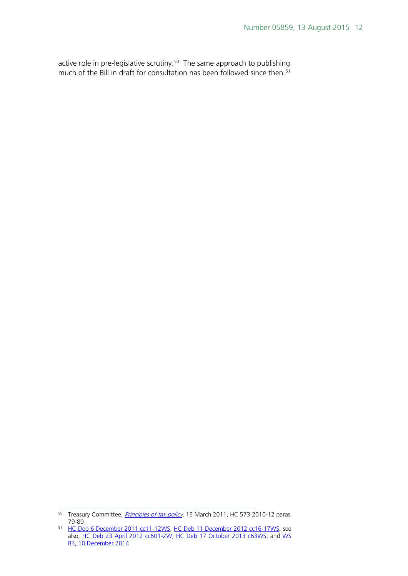active role in pre-legislative scrutiny.<sup>[50](#page-11-0)</sup> The same approach to publishing much of the Bill in draft for consultation has been followed since then.<sup>[51](#page-11-1)</sup>

<span id="page-11-0"></span><sup>&</sup>lt;sup>50</sup> Treasury Committee, *[Principles of tax policy](http://www.publications.parliament.uk/pa/cm201011/cmselect/cmtreasy/753/753.pdf)*, 15 March 2011, HC 573 2010-12 paras 79-80  $\overline{a}$ 

<span id="page-11-1"></span><sup>&</sup>lt;sup>51</sup> [HC Deb 6 December 2011 cc11-12WS;](http://www.publications.parliament.uk/pa/cm201011/cmhansrd/cm111206/wmstext/111206m0001.htm%2311120641000015) [HC Deb 11 December 2012 cc16-17WS;](http://www.publications.parliament.uk/pa/cm201213/cmhansrd/cm121211/wmstext/121211m0001.htm%2312121148000011) see also, <u>HC Deb 23 April 2012 cc601-2W; HC Deb 17 October 2013 c63WS</u>; and <u>WS</u> [83, 10 December 2014](http://www.parliament.uk/written-questions-answers-statements/written-statement/Commons/2014-12-10/HCWS83)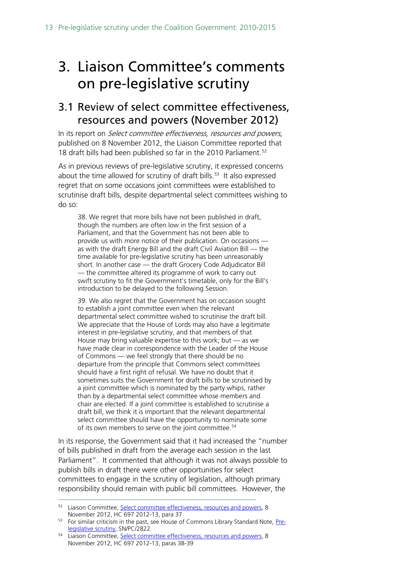## <span id="page-12-0"></span>3. Liaison Committee's comments on pre-legislative scrutiny

### <span id="page-12-1"></span>3.1 Review of select committee effectiveness, resources and powers (November 2012)

In its report on *Select committee effectiveness, resources and powers*, published on 8 November 2012, the Liaison Committee reported that 18 draft bills had been published so far in the 2010 Parliament.<sup>[52](#page-12-2)</sup>

As in previous reviews of pre-legislative scrutiny, it expressed concerns about the time allowed for scrutiny of draft bills.<sup>[53](#page-12-3)</sup> It also expressed regret that on some occasions joint committees were established to scrutinise draft bills, despite departmental select committees wishing to do so:

38. We regret that more bills have not been published in draft, though the numbers are often low in the first session of a Parliament, and that the Government has not been able to provide us with more notice of their publication. On occasions as with the draft Energy Bill and the draft Civil Aviation Bill — the time available for pre-legislative scrutiny has been unreasonably short. In another case — the draft Grocery Code Adjudicator Bill — the committee altered its programme of work to carry out swift scrutiny to fit the Government's timetable, only for the Bill's introduction to be delayed to the following Session.

39. We also regret that the Government has on occasion sought to establish a joint committee even when the relevant departmental select committee wished to scrutinise the draft bill. We appreciate that the House of Lords may also have a legitimate interest in pre-legislative scrutiny, and that members of that House may bring valuable expertise to this work; but — as we have made clear in correspondence with the Leader of the House of Commons — we feel strongly that there should be no departure from the principle that Commons select committees should have a first right of refusal. We have no doubt that it sometimes suits the Government for draft bills to be scrutinised by a joint committee which is nominated by the party whips, rather than by a departmental select committee whose members and chair are elected. If a joint committee is established to scrutinise a draft bill, we think it is important that the relevant departmental select committee should have the opportunity to nominate some of its own members to serve on the joint committee.<sup>[54](#page-12-4)</sup>

In its response, the Government said that it had increased the "number of bills published in draft from the average each session in the last Parliament". It commented that although it was not always possible to publish bills in draft there were other opportunities for select committees to engage in the scrutiny of legislation, although primary responsibility should remain with public bill committees. However, the

<span id="page-12-2"></span><sup>&</sup>lt;sup>52</sup> Liaison Committee[, Select committee effectiveness, resources and powers,](http://www.publications.parliament.uk/pa/cm201213/cmselect/cmliaisn/697/697.pdf) 8 November 2012, HC 697 2012-13, para 37  $\overline{a}$ 

<span id="page-12-3"></span><sup>&</sup>lt;sup>53</sup> For similar criticism in the past, see House of Commons Library Standard Note, [Pre](http://www.parliament.uk/documents/commons/lib/research/briefings/snpc-02822.pdf)[legislative scrutiny,](http://www.parliament.uk/documents/commons/lib/research/briefings/snpc-02822.pdf) SN/PC/2822

<span id="page-12-4"></span><sup>&</sup>lt;sup>54</sup> Liaison Committee[, Select committee effectiveness, resources and powers,](http://www.publications.parliament.uk/pa/cm201213/cmselect/cmliaisn/697/697.pdf) 8 November 2012, HC 697 2012-13, paras 38-39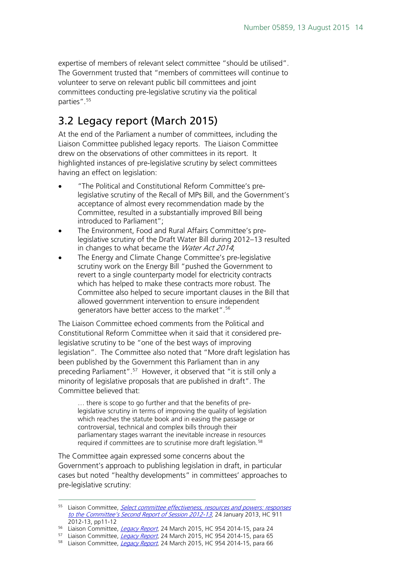expertise of members of relevant select committee "should be utilised". The Government trusted that "members of committees will continue to volunteer to serve on relevant public bill committees and joint committees conducting pre-legislative scrutiny via the political parties".<sup>[55](#page-13-1)</sup>

### <span id="page-13-0"></span>3.2 Legacy report (March 2015)

At the end of the Parliament a number of committees, including the Liaison Committee published legacy reports. The Liaison Committee drew on the observations of other committees in its report. It highlighted instances of pre-legislative scrutiny by select committees having an effect on legislation:

- "The Political and Constitutional Reform Committee's prelegislative scrutiny of the Recall of MPs Bill, and the Government's acceptance of almost every recommendation made by the Committee, resulted in a substantially improved Bill being introduced to Parliament";
- The Environment, Food and Rural Affairs Committee's prelegislative scrutiny of the Draft Water Bill during 2012–13 resulted in changes to what became the Water Act 2014;
- The Energy and Climate Change Committee's pre-legislative scrutiny work on the Energy Bill "pushed the Government to revert to a single counterparty model for electricity contracts which has helped to make these contracts more robust. The Committee also helped to secure important clauses in the Bill that allowed government intervention to ensure independent generators have better access to the market".<sup>[56](#page-13-2)</sup>

The Liaison Committee echoed comments from the Political and Constitutional Reform Committee when it said that it considered prelegislative scrutiny to be "one of the best ways of improving legislation". The Committee also noted that "More draft legislation has been published by the Government this Parliament than in any preceding Parliament".[57](#page-13-3) However, it observed that "it is still only a minority of legislative proposals that are published in draft". The Committee believed that:

... there is scope to go further and that the benefits of prelegislative scrutiny in terms of improving the quality of legislation which reaches the statute book and in easing the passage or controversial, technical and complex bills through their parliamentary stages warrant the inevitable increase in resources required if committees are to scrutinise more draft legislation.<sup>[58](#page-13-4)</sup>

The Committee again expressed some concerns about the Government's approach to publishing legislation in draft, in particular cases but noted "healthy developments" in committees' approaches to pre-legislative scrutiny:

 $\overline{a}$ 

<span id="page-13-1"></span><sup>&</sup>lt;sup>55</sup> Liaison Committee, *Select committee effectiveness, resources and powers: responses* [to the Committee's Second Report of Session 2012-13](http://www.publications.parliament.uk/pa/cm201213/cmselect/cmliaisn/911/911.pdf), 24 January 2013, HC 911 2012-13, pp11-12

<span id="page-13-2"></span><sup>&</sup>lt;sup>56</sup> Liaison Committee, *[Legacy Report](http://www.publications.parliament.uk/pa/cm201415/cmselect/cmliaisn/954/954.pdf)*, 24 March 2015, HC 954 2014-15, para 24

<span id="page-13-3"></span><sup>&</sup>lt;sup>57</sup> Liaison Committee, *[Legacy Report](http://www.publications.parliament.uk/pa/cm201415/cmselect/cmliaisn/954/954.pdf)*, 24 March 2015, HC 954 2014-15, para 65

<span id="page-13-4"></span><sup>58</sup> Liaison Committee, *[Legacy Report](http://www.publications.parliament.uk/pa/cm201415/cmselect/cmliaisn/954/954.pdf)*, 24 March 2015, HC 954 2014-15, para 66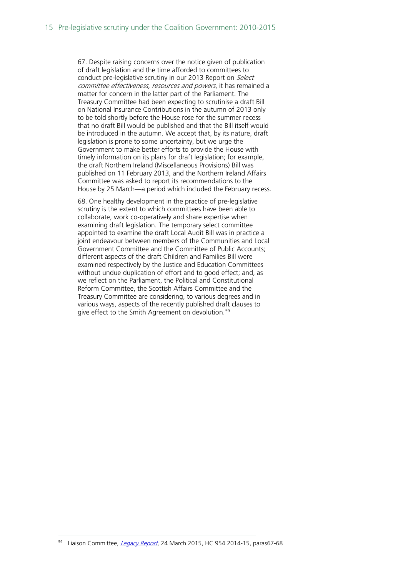67. Despite raising concerns over the notice given of publication of draft legislation and the time afforded to committees to conduct pre-legislative scrutiny in our 2013 Report on Select committee effectiveness, resources and powers, it has remained a matter for concern in the latter part of the Parliament. The Treasury Committee had been expecting to scrutinise a draft Bill on National Insurance Contributions in the autumn of 2013 only to be told shortly before the House rose for the summer recess that no draft Bill would be published and that the Bill itself would be introduced in the autumn. We accept that, by its nature, draft legislation is prone to some uncertainty, but we urge the Government to make better efforts to provide the House with timely information on its plans for draft legislation; for example, the draft Northern Ireland (Miscellaneous Provisions) Bill was published on 11 February 2013, and the Northern Ireland Affairs Committee was asked to report its recommendations to the House by 25 March—a period which included the February recess.

68. One healthy development in the practice of pre-legislative scrutiny is the extent to which committees have been able to collaborate, work co-operatively and share expertise when examining draft legislation. The temporary select committee appointed to examine the draft Local Audit Bill was in practice a joint endeavour between members of the Communities and Local Government Committee and the Committee of Public Accounts; different aspects of the draft Children and Families Bill were examined respectively by the Justice and Education Committees without undue duplication of effort and to good effect; and, as we reflect on the Parliament, the Political and Constitutional Reform Committee, the Scottish Affairs Committee and the Treasury Committee are considering, to various degrees and in various ways, aspects of the recently published draft clauses to give effect to the Smith Agreement on devolution.<sup>[59](#page-14-0)</sup>

-

<span id="page-14-0"></span>Liaison Committee, [Legacy Report](http://www.publications.parliament.uk/pa/cm201415/cmselect/cmliaisn/954/954.pdf), 24 March 2015, HC 954 2014-15, paras67-68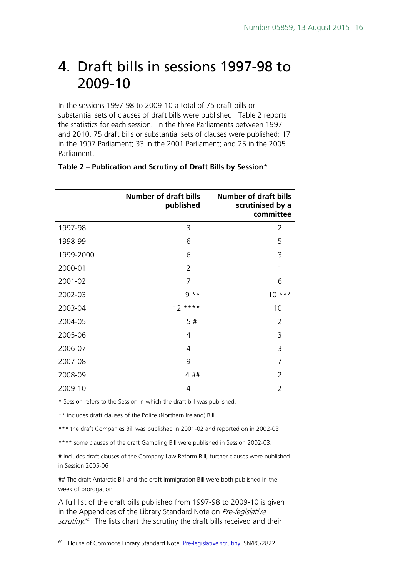## <span id="page-15-0"></span>4. Draft bills in sessions 1997-98 to 2009-10

In the sessions 1997-98 to 2009-10 a total of 75 draft bills or substantial sets of clauses of draft bills were published. Table 2 reports the statistics for each session. In the three Parliaments between 1997 and 2010, 75 draft bills or substantial sets of clauses were published: 17 in the 1997 Parliament; 33 in the 2001 Parliament; and 25 in the 2005 Parliament.

|           | <b>Number of draft bills</b><br>published | <b>Number of draft bills</b><br>scrutinised by a<br>committee |
|-----------|-------------------------------------------|---------------------------------------------------------------|
| 1997-98   | 3                                         | $\overline{2}$                                                |
| 1998-99   | 6                                         | 5                                                             |
| 1999-2000 | 6                                         | 3                                                             |
| 2000-01   | $\overline{2}$                            | 1                                                             |
| 2001-02   | 7                                         | 6                                                             |
| 2002-03   | $9***$                                    | $10***$                                                       |
| 2003-04   | $12***$                                   | 10                                                            |
| 2004-05   | 5#                                        | 2                                                             |
| 2005-06   | 4                                         | 3                                                             |
| 2006-07   | 4                                         | 3                                                             |
| 2007-08   | 9                                         | 7                                                             |
| 2008-09   | 4##                                       | $\overline{2}$                                                |
| 2009-10   | 4                                         | $\overline{2}$                                                |

#### **Table 2 – Publication and Scrutiny of Draft Bills by Session**\*

\* Session refers to the Session in which the draft bill was published.

\*\* includes draft clauses of the Police (Northern Ireland) Bill.

-

\*\*\* the draft Companies Bill was published in 2001-02 and reported on in 2002-03.

\*\*\*\* some clauses of the draft Gambling Bill were published in Session 2002-03.

# includes draft clauses of the Company Law Reform Bill, further clauses were published in Session 2005-06

## The draft Antarctic Bill and the draft Immigration Bill were both published in the week of prorogation

A full list of the draft bills published from 1997-98 to 2009-10 is given in the Appendices of the Library Standard Note on Pre-legislative scrutiny.<sup>60</sup> The lists chart the scrutiny the draft bills received and their

<span id="page-15-1"></span><sup>60</sup> House of Commons Library Standard Note, [Pre-legislative scrutiny,](http://www.parliament.uk/documents/commons/lib/research/briefings/snpc-02822.pdf) SN/PC/2822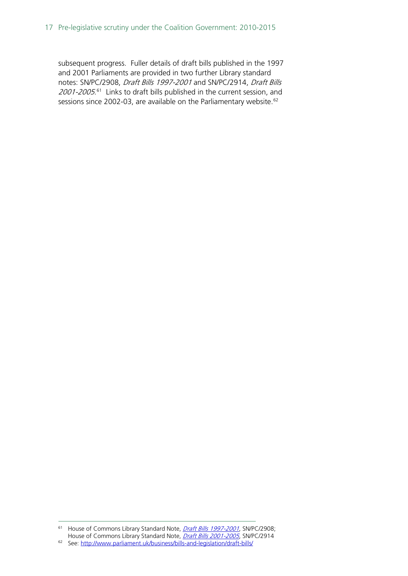subsequent progress. Fuller details of draft bills published in the 1997 and 2001 Parliaments are provided in two further Library standard notes: SN/PC/2908, Draft Bills 1997-2001 and SN/PC/2914, Draft Bills 2001-2005.<sup>[61](#page-16-0)</sup> Links to draft bills published in the current session, and sessions since 2002-03, are available on the Parliamentary website.<sup>[62](#page-16-1)</sup>

<span id="page-16-0"></span><sup>&</sup>lt;sup>61</sup> House of Commons Library Standard Note, *[Draft Bills 1997-2001](http://www.parliament.uk/documents/commons/lib/research/briefings/snpc-02908.pdf)*, SN/PC/2908; House of Commons Library Standard Note, *[Draft Bills 2001-2005](http://www.parliament.uk/documents/commons/lib/research/briefings/snpc-02914.pdf)*, SN/PC/2914 -

<span id="page-16-1"></span><sup>62</sup> See:<http://www.parliament.uk/business/bills-and-legislation/draft-bills/>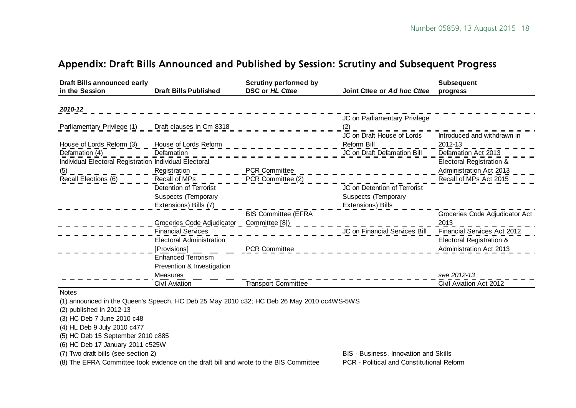### Appendix: Draft Bills Announced and Published by Session: Scrutiny and Subsequent Progress

| <b>Draft Bills announced early</b>                     |                                 | <b>Scrutiny performed by</b> |                               | <b>Subsequent</b>              |
|--------------------------------------------------------|---------------------------------|------------------------------|-------------------------------|--------------------------------|
| in the Session                                         | <b>Draft Bills Published</b>    | DSC or HL Cttee              | Joint Cttee or Ad hoc Cttee   | progress                       |
| 2010-12                                                |                                 |                              |                               |                                |
|                                                        |                                 |                              | JC on Parliamentary Privilege |                                |
| Parliamentary Privilege (1) Draft clauses in Cm 8318   |                                 |                              |                               |                                |
|                                                        |                                 |                              | JC on Draft House of Lords    | Introduced and withdrawn in    |
| House of Lords Reform (3)                              | House of Lords Reform           |                              | Reform Bill                   | 2012-13                        |
| Defamation (4)                                         | Defamation                      |                              | JC on Draft Defamation Bill   | Defamation Act 2013            |
| Individual Electoral Registration Individual Electoral |                                 |                              |                               | Electoral Registration &       |
| (5)                                                    | Registration                    | <b>PCR Committee</b>         |                               | Administration Act 2013        |
| Recall Elections (6)                                   | Recall of MPs                   | PCR Committee (2)            |                               | Recall of MPs Act 2015         |
|                                                        | Detention of Terrorist          |                              | JC on Detention of Terrorist  |                                |
|                                                        | <b>Suspects (Temporary</b>      |                              | <b>Suspects (Temporary</b>    |                                |
|                                                        | Extensions) Bills (7)           |                              | Extensions) Bills             |                                |
|                                                        |                                 | <b>BIS Committee (EFRA</b>   |                               | Groceries Code Adjudicator Act |
|                                                        | Groceries Code Adjudicator      | Committee [8])               |                               | 2013                           |
|                                                        | <b>Financial Services</b>       |                              | JC on Financial Services Bill | Financial Services Act 2012    |
|                                                        | <b>Electoral Administration</b> |                              |                               | Electoral Registration &       |
|                                                        | [Provisions]                    | <b>PCR Committee</b>         |                               | Administration Act 2013        |
|                                                        | <b>Enhanced Terrorism</b>       |                              |                               |                                |
|                                                        | Prevention & Investigation      |                              |                               |                                |
|                                                        | Measures                        |                              |                               | see 2012-13                    |
|                                                        | Civil Aviation                  | <b>Transport Committee</b>   |                               | Civil Aviation Act 2012        |

<span id="page-17-0"></span>Notes

(1) announced in the Queen's Speech, HC Deb 25 May 2010 c32; HC Deb 26 May 2010 cc4WS-5WS

(2) published in 2012-13

(3) HC Deb 7 June 2010 c48

(4) HL Deb 9 July 2010 c477

(5) HC Deb 15 September 2010 c885

(6) HC Deb 17 January 2011 c525W

(7) Two draft bills (see section 2) and Skills (see section 2) and Skills and Skills and Skills and Skills and Skills and Skills and Skills and Skills and Skills and Skills and Skills and Skills and Skills and Skills and S

(8) The EFRA Committee took evidence on the draft bill and wrote to the BIS Committee PCR - Political and Constitutional Reform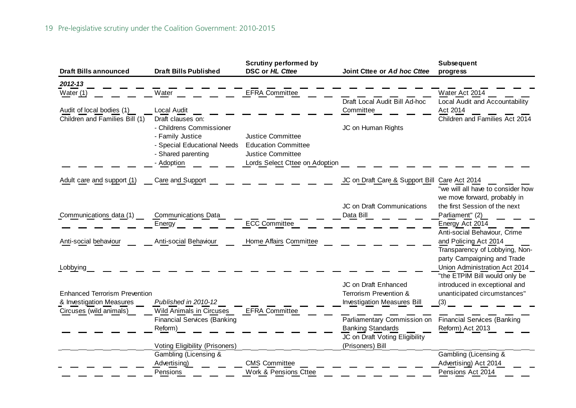| <b>Draft Bills announced</b>                        | <b>Draft Bills Published</b>                      | <b>Scrutiny performed by</b><br>DSC or HL Cttee        | Joint Cttee or Ad hoc Cttee        | Subsequent<br>progress                                        |
|-----------------------------------------------------|---------------------------------------------------|--------------------------------------------------------|------------------------------------|---------------------------------------------------------------|
| 2012-13                                             |                                                   |                                                        |                                    |                                                               |
| Water (1)                                           | Water                                             | <b>EFRA Committee</b>                                  | Draft Local Audit Bill Ad-hoc      | Water Act 2014<br>Local Audit and Accountability              |
| Audit of local bodies (1)                           | Local Audit                                       |                                                        | Committee                          | Act 2014                                                      |
| Children and Families Bill (1)                      | Draft clauses on:                                 |                                                        |                                    | Children and Families Act 2014                                |
|                                                     | - Childrens Commissioner                          |                                                        | JC on Human Rights                 |                                                               |
|                                                     | - Family Justice                                  | <b>Justice Committee</b>                               |                                    |                                                               |
|                                                     | - Special Educational Needs<br>- Shared parenting | <b>Education Committee</b><br><b>Justice Committee</b> |                                    |                                                               |
|                                                     | - Adoption                                        | Lords Select Cttee on Adoption                         |                                    |                                                               |
|                                                     |                                                   |                                                        |                                    |                                                               |
| Adult care and support (1)                          | Care and Support                                  |                                                        | JC on Draft Care & Support Bill    | Care Act 2014<br>"we will all have to consider how            |
|                                                     |                                                   |                                                        | JC on Draft Communications         | we move forward, probably in<br>the first Session of the next |
| Communications data (1)                             | <b>Communications Data</b>                        |                                                        | Data Bill                          | Parliament" (2)                                               |
|                                                     | Energy                                            | <b>ECC Committee</b>                                   |                                    | Energy Act 2014                                               |
|                                                     |                                                   |                                                        |                                    | Anti-social Behaviour, Crime                                  |
| Anti-social behaviour                               | Anti-social Behaviour                             | Home Affairs Committee                                 |                                    | and Policing Act 2014                                         |
|                                                     |                                                   |                                                        |                                    | Transparency of Lobbying, Non-<br>party Campaigning and Trade |
| Lobbying                                            |                                                   |                                                        |                                    | Union Administration Act 2014                                 |
|                                                     |                                                   |                                                        |                                    | "the ETPIM Bill would only be                                 |
|                                                     |                                                   |                                                        | JC on Draft Enhanced               | introduced in exceptional and                                 |
| <b>Enhanced Terrorism Prevention</b>                |                                                   |                                                        | Terrorism Prevention &             | unanticipated circumstances"                                  |
| & Investigation Measures<br>Circuses (wild animals) | Published in 2010-12<br>Wild Animals in Circuses  | <b>EFRA Committee</b>                                  | <b>Investigation Measures Bill</b> | (3)                                                           |
|                                                     | <b>Financial Services (Banking</b>                |                                                        | Parliamentary Commission on        | <b>Financial Services (Banking</b>                            |
|                                                     | Reform)                                           |                                                        | <b>Banking Standards</b>           | Reform) Act 2013                                              |
|                                                     |                                                   |                                                        | JC on Draft Voting Eligibility     |                                                               |
|                                                     | Voting Eligibility (Prisoners)                    |                                                        | (Prisoners) Bill                   |                                                               |
|                                                     | Gambling (Licensing &<br>Advertising)             | <b>CMS Committee</b>                                   |                                    | Gambling (Licensing &<br>Advertising) Act 2014                |
|                                                     | Pensions                                          | Work & Pensions Cttee                                  |                                    | Pensions Act 2014                                             |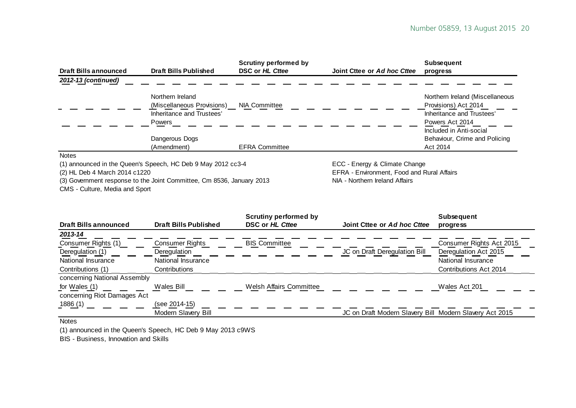| <b>Draft Bills announced</b> | <b>Draft Bills Published</b>                                 | <b>Scrutiny performed by</b><br>DSC or HL Cttee | Joint Cttee or Ad hoc Cttee   | <b>Subsequent</b><br>progress                     |
|------------------------------|--------------------------------------------------------------|-------------------------------------------------|-------------------------------|---------------------------------------------------|
| 2012-13 (continued)          |                                                              |                                                 |                               |                                                   |
|                              | Northern Ireland                                             |                                                 |                               | Northern Ireland (Miscellaneous                   |
|                              | (Miscellaneous Provisions)<br>Inheritance and Trustees'      | <b>NIA Committee</b>                            |                               | Provisions) Act 2014<br>Inheritance and Trustees' |
|                              | <b>Powers</b>                                                |                                                 |                               | Powers Act 2014                                   |
|                              |                                                              |                                                 |                               | Included in Anti-social                           |
|                              | Dangerous Dogs                                               |                                                 |                               | Behaviour, Crime and Policing                     |
|                              | (Amendment)                                                  | <b>EFRA Committee</b>                           |                               | Act 2014                                          |
| <b>Notes</b>                 |                                                              |                                                 |                               |                                                   |
|                              | (1) announced in the Queen's Speech, HC Deb 9 May 2012 cc3-4 |                                                 | ECC - Energy & Climate Change |                                                   |

(3) Government response to the Joint Committee, Cm 8536, January 2013

CMS - Culture, Media and Sport

(2) HL Deb 4 March 2014 c1220<br>
(3) Government response to the Joint Committee, Cm 8536, January 2013 NIA - Northern Ireland Affairs

|                              |                              | <b>Scrutiny performed by</b>   |                                                         | <b>Subsequent</b>        |
|------------------------------|------------------------------|--------------------------------|---------------------------------------------------------|--------------------------|
| <b>Draft Bills announced</b> | <b>Draft Bills Published</b> | DSC or HL Cttee                | Joint Cttee or Ad hoc Cttee                             | progress                 |
| 2013-14                      |                              |                                |                                                         |                          |
| Consumer Rights (1)          | Consumer Rights              | <b>BIS Committee</b>           |                                                         | Consumer Rights Act 2015 |
| Deregulation (1)             | Deregulation                 |                                | JC on Draft Deregulation Bill                           | Deregulation Act 2015    |
| National Insurance           | National Insurance           |                                |                                                         | National Insurance       |
| Contributions (1)            | Contributions                |                                |                                                         | Contributions Act 2014   |
| concerning National Assembly |                              |                                |                                                         |                          |
| for Wales (1)                | Wales Bill                   | <b>Welsh Affairs Committee</b> |                                                         | Wales Act 201            |
| concerning Riot Damages Act  |                              |                                |                                                         |                          |
| <u>1886 (</u> 1)             | (see 2014-15)                |                                |                                                         |                          |
|                              | Modern Slavery Bill          |                                | JC on Draft Modern Slavery Bill Modern Slavery Act 2015 |                          |

#### Notes

(1) announced in the Queen's Speech, HC Deb 9 May 2013 c9WS

BIS - Business, Innovation and Skills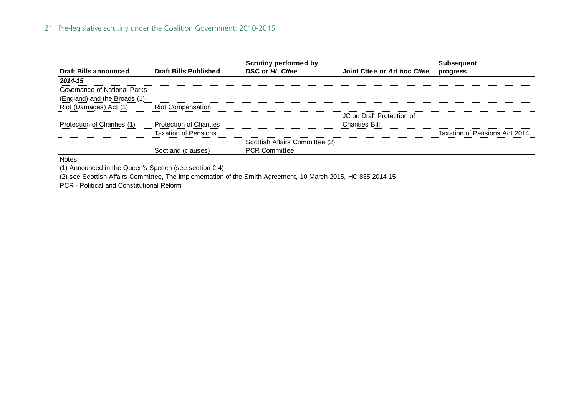#### 21 Pre-legislative scrutiny under the Coalition Government: 2010-2015

| <b>Draft Bills announced</b> | <b>Draft Bills Published</b>   | <b>Scrutiny performed by</b><br>DSC or HL Cttee | Joint Cttee or Ad hoc Cttee | <b>Subsequent</b><br>progress |
|------------------------------|--------------------------------|-------------------------------------------------|-----------------------------|-------------------------------|
| 2014-15                      |                                |                                                 |                             |                               |
| Governance of National Parks |                                |                                                 |                             |                               |
| (England) and the Broads (1) |                                |                                                 |                             |                               |
| Riot (Damages) Act (1)       | <b>Riot Compensation</b>       |                                                 |                             |                               |
|                              |                                |                                                 | JC on Draft Protection of   |                               |
| Protection of Charities (1)  | <b>Protection of Charities</b> |                                                 | <b>Charities Bill</b>       |                               |
|                              | <b>Taxation of Pensions</b>    |                                                 |                             | Taxation of Pensions Act 2014 |
|                              |                                | Scottish Affairs Committee (2)                  |                             |                               |
|                              | Scotland (clauses)             | <b>PCR Committee</b>                            |                             |                               |

**Notes** 

(1) Announced in the Queen's Speech (see section 2.4)

(2) see Scottish Affairs Committee, The Implementation of the Smith Agreement, 10 March 2015, HC 835 2014-15

PCR - Political and Constitutional Reform